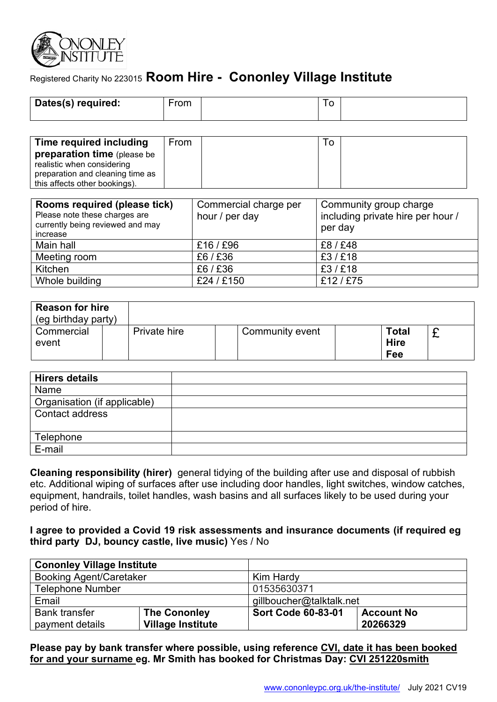

# Registered Charity No 223015 **Room Hire - Cononley Village Institute**

| Dates(s) required: | ∙rom | ÷<br>∼ |  |
|--------------------|------|--------|--|
|                    |      |        |  |

| Time required including            | From |  |  |
|------------------------------------|------|--|--|
| <b>preparation time</b> (please be |      |  |  |
| realistic when considering         |      |  |  |
| preparation and cleaning time as   |      |  |  |
| this affects other bookings).      |      |  |  |

| Rooms required (please tick)<br>Please note these charges are<br>currently being reviewed and may<br>increase | Commercial charge per<br>hour / per day | Community group charge<br>including private hire per hour /<br>per day |
|---------------------------------------------------------------------------------------------------------------|-----------------------------------------|------------------------------------------------------------------------|
| Main hall                                                                                                     | £16/£96                                 | £8/£48                                                                 |
| Meeting room                                                                                                  | £6/£36                                  | £3/£18                                                                 |
| Kitchen                                                                                                       | £6/£36                                  | £3/£18                                                                 |
| Whole building                                                                                                | £24/£150                                | £12/£75                                                                |

| <b>Reason for hire</b><br>(eg birthday party) |              |                 |                                    |   |
|-----------------------------------------------|--------------|-----------------|------------------------------------|---|
| Commercial<br>event                           | Private hire | Community event | <b>Total</b><br><b>Hire</b><br>Fee | ∼ |

| <b>Hirers details</b>        |  |
|------------------------------|--|
| Name                         |  |
| Organisation (if applicable) |  |
| Contact address              |  |
|                              |  |
| Telephone                    |  |
| E-mail                       |  |

**Cleaning responsibility (hirer)** general tidying of the building after use and disposal of rubbish etc. Additional wiping of surfaces after use including door handles, light switches, window catches, equipment, handrails, toilet handles, wash basins and all surfaces likely to be used during your period of hire.

#### **I agree to provided a Covid 19 risk assessments and insurance documents (if required eg third party DJ, bouncy castle, live music)** Yes / No

| <b>Cononley Village Institute</b>       |                                                 |                           |                               |  |  |
|-----------------------------------------|-------------------------------------------------|---------------------------|-------------------------------|--|--|
| <b>Booking Agent/Caretaker</b>          |                                                 | Kim Hardy                 |                               |  |  |
| <b>Telephone Number</b>                 |                                                 | 01535630371               |                               |  |  |
| Email                                   |                                                 | gillboucher@talktalk.net  |                               |  |  |
| <b>Bank transfer</b><br>payment details | <b>The Cononley</b><br><b>Village Institute</b> | <b>Sort Code 60-83-01</b> | <b>Account No</b><br>20266329 |  |  |

**Please pay by bank transfer where possible, using reference CVI, date it has been booked for and your surname eg. Mr Smith has booked for Christmas Day: CVI 251220smith**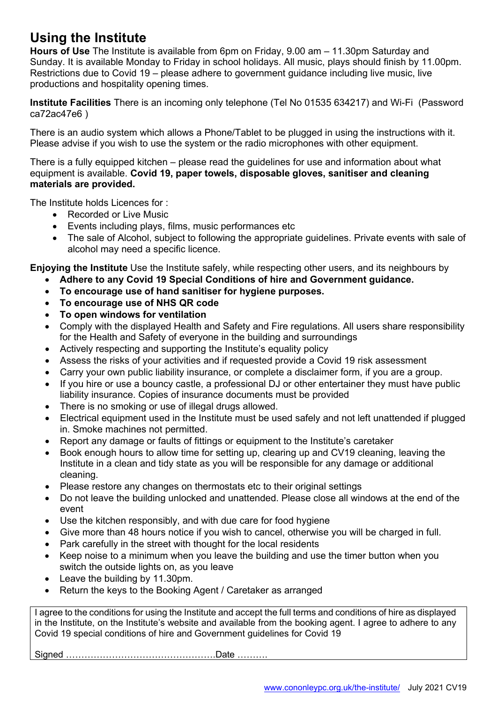# **Using the Institute**

**Hours of Use** The Institute is available from 6pm on Friday, 9.00 am – 11.30pm Saturday and Sunday. It is available Monday to Friday in school holidays. All music, plays should finish by 11.00pm. Restrictions due to Covid 19 – please adhere to government guidance including live music, live productions and hospitality opening times.

**Institute Facilities** There is an incoming only telephone (Tel No 01535 634217) and Wi-Fi (Password ca72ac47e6 )

There is an audio system which allows a Phone/Tablet to be plugged in using the instructions with it. Please advise if you wish to use the system or the radio microphones with other equipment.

There is a fully equipped kitchen – please read the guidelines for use and information about what equipment is available. **Covid 19, paper towels, disposable gloves, sanitiser and cleaning materials are provided.**

The Institute holds Licences for :

- Recorded or Live Music
- Events including plays, films, music performances etc
- The sale of Alcohol, subject to following the appropriate guidelines. Private events with sale of alcohol may need a specific licence.

**Enjoying the Institute** Use the Institute safely, while respecting other users, and its neighbours by

- **Adhere to any Covid 19 Special Conditions of hire and Government guidance.**
- **To encourage use of hand sanitiser for hygiene purposes.**
- **To encourage use of NHS QR code**
- **To open windows for ventilation**
- Comply with the displayed Health and Safety and Fire regulations. All users share responsibility for the Health and Safety of everyone in the building and surroundings
- Actively respecting and supporting the Institute's equality policy
- Assess the risks of your activities and if requested provide a Covid 19 risk assessment
- Carry your own public liability insurance, or complete a disclaimer form, if you are a group.
- If you hire or use a bouncy castle, a professional DJ or other entertainer they must have public liability insurance. Copies of insurance documents must be provided
- There is no smoking or use of illegal drugs allowed.
- Electrical equipment used in the Institute must be used safely and not left unattended if plugged in. Smoke machines not permitted.
- Report any damage or faults of fittings or equipment to the Institute's caretaker
- Book enough hours to allow time for setting up, clearing up and CV19 cleaning, leaving the Institute in a clean and tidy state as you will be responsible for any damage or additional cleaning.
- Please restore any changes on thermostats etc to their original settings
- Do not leave the building unlocked and unattended. Please close all windows at the end of the event
- Use the kitchen responsibly, and with due care for food hygiene
- Give more than 48 hours notice if you wish to cancel, otherwise you will be charged in full.
- Park carefully in the street with thought for the local residents
- Keep noise to a minimum when you leave the building and use the timer button when you switch the outside lights on, as you leave
- Leave the building by 11.30pm.
- Return the keys to the Booking Agent / Caretaker as arranged

I agree to the conditions for using the Institute and accept the full terms and conditions of hire as displayed in the Institute, on the Institute's website and available from the booking agent. I agree to adhere to any Covid 19 special conditions of hire and Government guidelines for Covid 19

Signed ………………………………………….Date ……….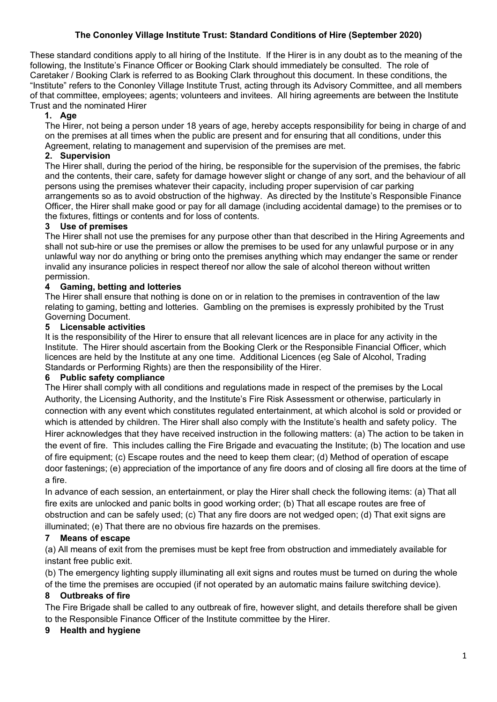### **The Cononley Village Institute Trust: Standard Conditions of Hire (September 2020)**

These standard conditions apply to all hiring of the Institute. If the Hirer is in any doubt as to the meaning of the following, the Institute's Finance Officer or Booking Clark should immediately be consulted. The role of Caretaker / Booking Clark is referred to as Booking Clark throughout this document. In these conditions, the "Institute" refers to the Cononley Village Institute Trust, acting through its Advisory Committee, and all members of that committee, employees; agents; volunteers and invitees. All hiring agreements are between the Institute Trust and the nominated Hirer

### **1. Age**

The Hirer, not being a person under 18 years of age, hereby accepts responsibility for being in charge of and on the premises at all times when the public are present and for ensuring that all conditions, under this Agreement, relating to management and supervision of the premises are met.

### **2. Supervision**

The Hirer shall, during the period of the hiring, be responsible for the supervision of the premises, the fabric and the contents, their care, safety for damage however slight or change of any sort, and the behaviour of all persons using the premises whatever their capacity, including proper supervision of car parking arrangements so as to avoid obstruction of the highway. As directed by the Institute's Responsible Finance Officer, the Hirer shall make good or pay for all damage (including accidental damage) to the premises or to the fixtures, fittings or contents and for loss of contents.

#### **3 Use of premises**

The Hirer shall not use the premises for any purpose other than that described in the Hiring Agreements and shall not sub-hire or use the premises or allow the premises to be used for any unlawful purpose or in any unlawful way nor do anything or bring onto the premises anything which may endanger the same or render invalid any insurance policies in respect thereof nor allow the sale of alcohol thereon without written permission.

### **4 Gaming, betting and lotteries**

The Hirer shall ensure that nothing is done on or in relation to the premises in contravention of the law relating to gaming, betting and lotteries. Gambling on the premises is expressly prohibited by the Trust Governing Document.

#### **5 Licensable activities**

It is the responsibility of the Hirer to ensure that all relevant licences are in place for any activity in the Institute. The Hirer should ascertain from the Booking Clerk or the Responsible Financial Officer, which licences are held by the Institute at any one time. Additional Licences (eg Sale of Alcohol, Trading Standards or Performing Rights) are then the responsibility of the Hirer.

#### **6 Public safety compliance**

The Hirer shall comply with all conditions and regulations made in respect of the premises by the Local Authority, the Licensing Authority, and the Institute's Fire Risk Assessment or otherwise, particularly in connection with any event which constitutes regulated entertainment, at which alcohol is sold or provided or which is attended by children. The Hirer shall also comply with the Institute's health and safety policy. The Hirer acknowledges that they have received instruction in the following matters: (a) The action to be taken in the event of fire. This includes calling the Fire Brigade and evacuating the Institute; (b) The location and use of fire equipment; (c) Escape routes and the need to keep them clear; (d) Method of operation of escape door fastenings; (e) appreciation of the importance of any fire doors and of closing all fire doors at the time of a fire.

In advance of each session, an entertainment, or play the Hirer shall check the following items: (a) That all fire exits are unlocked and panic bolts in good working order; (b) That all escape routes are free of obstruction and can be safely used; (c) That any fire doors are not wedged open; (d) That exit signs are illuminated; (e) That there are no obvious fire hazards on the premises.

#### **7 Means of escape**

(a) All means of exit from the premises must be kept free from obstruction and immediately available for instant free public exit.

(b) The emergency lighting supply illuminating all exit signs and routes must be turned on during the whole

of the time the premises are occupied (if not operated by an automatic mains failure switching device).

#### **8 Outbreaks of fire**

The Fire Brigade shall be called to any outbreak of fire, however slight, and details therefore shall be given to the Responsible Finance Officer of the Institute committee by the Hirer.

#### **9 Health and hygiene**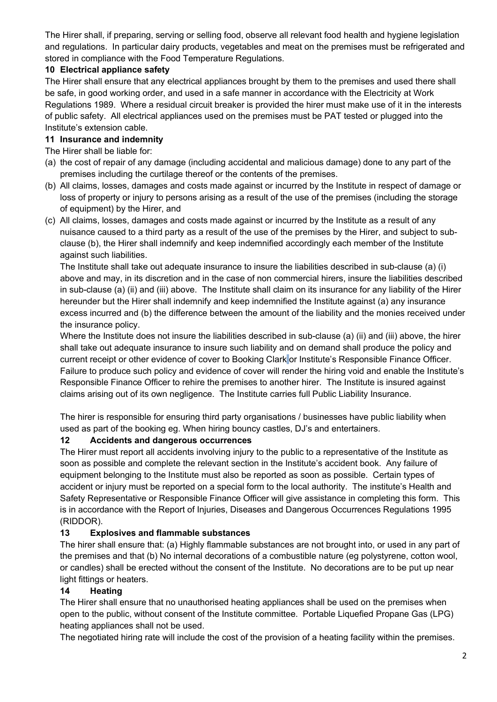The Hirer shall, if preparing, serving or selling food, observe all relevant food health and hygiene legislation and regulations. In particular dairy products, vegetables and meat on the premises must be refrigerated and stored in compliance with the Food Temperature Regulations.

## **10 Electrical appliance safety**

The Hirer shall ensure that any electrical appliances brought by them to the premises and used there shall be safe, in good working order, and used in a safe manner in accordance with the Electricity at Work Regulations 1989. Where a residual circuit breaker is provided the hirer must make use of it in the interests of public safety. All electrical appliances used on the premises must be PAT tested or plugged into the Institute's extension cable.

### **11 Insurance and indemnity**

The Hirer shall be liable for:

- (a) the cost of repair of any damage (including accidental and malicious damage) done to any part of the premises including the curtilage thereof or the contents of the premises.
- (b) All claims, losses, damages and costs made against or incurred by the Institute in respect of damage or loss of property or injury to persons arising as a result of the use of the premises (including the storage of equipment) by the Hirer, and
- (c) All claims, losses, damages and costs made against or incurred by the Institute as a result of any nuisance caused to a third party as a result of the use of the premises by the Hirer, and subject to subclause (b), the Hirer shall indemnify and keep indemnified accordingly each member of the Institute against such liabilities.

The Institute shall take out adequate insurance to insure the liabilities described in sub-clause (a) (i) above and may, in its discretion and in the case of non commercial hirers, insure the liabilities described in sub-clause (a) (ii) and (iii) above. The Institute shall claim on its insurance for any liability of the Hirer hereunder but the Hirer shall indemnify and keep indemnified the Institute against (a) any insurance excess incurred and (b) the difference between the amount of the liability and the monies received under the insurance policy.

Where the Institute does not insure the liabilities described in sub-clause (a) (ii) and (iii) above, the hirer shall take out adequate insurance to insure such liability and on demand shall produce the policy and current receipt or other evidence of cover to Booking Clark or Institute's Responsible Finance Officer. Failure to produce such policy and evidence of cover will render the hiring void and enable the Institute's Responsible Finance Officer to rehire the premises to another hirer. The Institute is insured against claims arising out of its own negligence. The Institute carries full Public Liability Insurance.

The hirer is responsible for ensuring third party organisations / businesses have public liability when used as part of the booking eg. When hiring bouncy castles, DJ's and entertainers.

### **12 Accidents and dangerous occurrences**

The Hirer must report all accidents involving injury to the public to a representative of the Institute as soon as possible and complete the relevant section in the Institute's accident book. Any failure of equipment belonging to the Institute must also be reported as soon as possible. Certain types of accident or injury must be reported on a special form to the local authority. The institute's Health and Safety Representative or Responsible Finance Officer will give assistance in completing this form. This is in accordance with the Report of Injuries, Diseases and Dangerous Occurrences Regulations 1995 (RIDDOR).

### **13 Explosives and flammable substances**

The hirer shall ensure that: (a) Highly flammable substances are not brought into, or used in any part of the premises and that (b) No internal decorations of a combustible nature (eg polystyrene, cotton wool, or candles) shall be erected without the consent of the Institute. No decorations are to be put up near light fittings or heaters.

### **14 Heating**

The Hirer shall ensure that no unauthorised heating appliances shall be used on the premises when open to the public, without consent of the Institute committee. Portable Liquefied Propane Gas (LPG) heating appliances shall not be used.

The negotiated hiring rate will include the cost of the provision of a heating facility within the premises.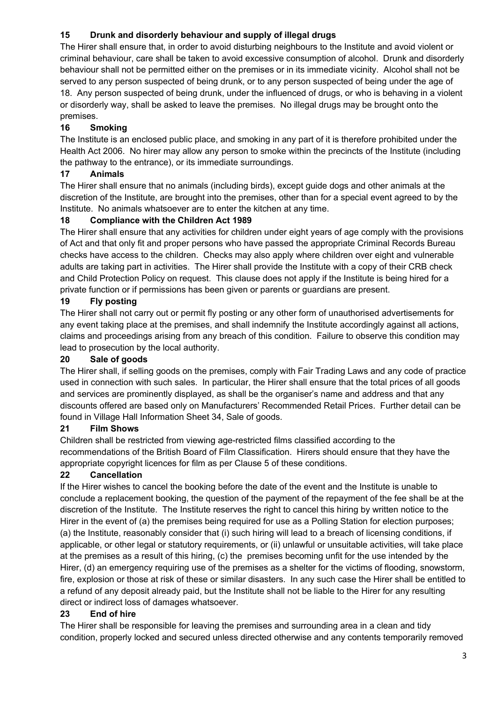# **15 Drunk and disorderly behaviour and supply of illegal drugs**

The Hirer shall ensure that, in order to avoid disturbing neighbours to the Institute and avoid violent or criminal behaviour, care shall be taken to avoid excessive consumption of alcohol. Drunk and disorderly behaviour shall not be permitted either on the premises or in its immediate vicinity. Alcohol shall not be served to any person suspected of being drunk, or to any person suspected of being under the age of 18. Any person suspected of being drunk, under the influenced of drugs, or who is behaving in a violent or disorderly way, shall be asked to leave the premises. No illegal drugs may be brought onto the premises.

# **16 Smoking**

The Institute is an enclosed public place, and smoking in any part of it is therefore prohibited under the Health Act 2006. No hirer may allow any person to smoke within the precincts of the Institute (including the pathway to the entrance), or its immediate surroundings.

# **17 Animals**

The Hirer shall ensure that no animals (including birds), except guide dogs and other animals at the discretion of the Institute, are brought into the premises, other than for a special event agreed to by the Institute. No animals whatsoever are to enter the kitchen at any time.

# **18 Compliance with the Children Act 1989**

The Hirer shall ensure that any activities for children under eight years of age comply with the provisions of Act and that only fit and proper persons who have passed the appropriate Criminal Records Bureau checks have access to the children. Checks may also apply where children over eight and vulnerable adults are taking part in activities. The Hirer shall provide the Institute with a copy of their CRB check and Child Protection Policy on request. This clause does not apply if the Institute is being hired for a private function or if permissions has been given or parents or guardians are present.

# **19 Fly posting**

The Hirer shall not carry out or permit fly posting or any other form of unauthorised advertisements for any event taking place at the premises, and shall indemnify the Institute accordingly against all actions, claims and proceedings arising from any breach of this condition. Failure to observe this condition may lead to prosecution by the local authority.

# **20 Sale of goods**

The Hirer shall, if selling goods on the premises, comply with Fair Trading Laws and any code of practice used in connection with such sales. In particular, the Hirer shall ensure that the total prices of all goods and services are prominently displayed, as shall be the organiser's name and address and that any discounts offered are based only on Manufacturers' Recommended Retail Prices. Further detail can be found in Village Hall Information Sheet 34, Sale of goods.

# **21 Film Shows**

Children shall be restricted from viewing age-restricted films classified according to the recommendations of the British Board of Film Classification. Hirers should ensure that they have the appropriate copyright licences for film as per Clause 5 of these conditions.

# **22 Cancellation**

If the Hirer wishes to cancel the booking before the date of the event and the Institute is unable to conclude a replacement booking, the question of the payment of the repayment of the fee shall be at the discretion of the Institute. The Institute reserves the right to cancel this hiring by written notice to the Hirer in the event of (a) the premises being required for use as a Polling Station for election purposes; (a) the Institute, reasonably consider that (i) such hiring will lead to a breach of licensing conditions, if applicable, or other legal or statutory requirements, or (ii) unlawful or unsuitable activities, will take place at the premises as a result of this hiring, (c) the premises becoming unfit for the use intended by the Hirer, (d) an emergency requiring use of the premises as a shelter for the victims of flooding, snowstorm, fire, explosion or those at risk of these or similar disasters. In any such case the Hirer shall be entitled to a refund of any deposit already paid, but the Institute shall not be liable to the Hirer for any resulting direct or indirect loss of damages whatsoever.

# **23 End of hire**

The Hirer shall be responsible for leaving the premises and surrounding area in a clean and tidy condition, properly locked and secured unless directed otherwise and any contents temporarily removed